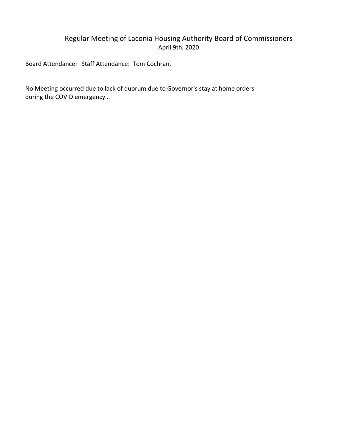# Regular Meeting of Laconia Housing Authority Board of Commissioners April 9th, 2020

Board Attendance: Staff Attendance: Tom Cochran,

No Meeting occurred due to lack of quorum due to Governor's stay at home orders during the COVID emergency .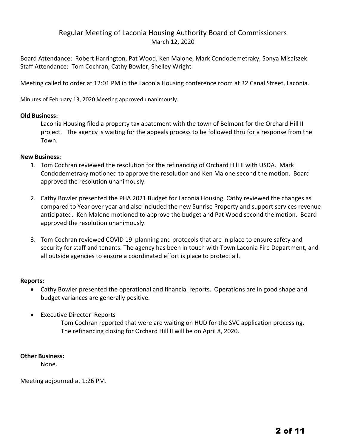# Regular Meeting of Laconia Housing Authority Board of Commissioners March 12, 2020

Board Attendance: Robert Harrington, Pat Wood, Ken Malone, Mark Condodemetraky, Sonya Misaiszek Staff Attendance: Tom Cochran, Cathy Bowler, Shelley Wright

Meeting called to order at 12:01 PM in the Laconia Housing conference room at 32 Canal Street, Laconia.

Minutes of February 13, 2020 Meeting approved unanimously.

## **Old Business:**

Laconia Housing filed a property tax abatement with the town of Belmont for the Orchard Hill II project. The agency is waiting for the appeals process to be followed thru for a response from the Town.

### **New Business:**

- 1. Tom Cochran reviewed the resolution for the refinancing of Orchard Hill II with USDA. Mark Condodemetraky motioned to approve the resolution and Ken Malone second the motion. Board approved the resolution unanimously.
- 2. Cathy Bowler presented the PHA 2021 Budget for Laconia Housing. Cathy reviewed the changes as compared to Year over year and also included the new Sunrise Property and support services revenue anticipated. Ken Malone motioned to approve the budget and Pat Wood second the motion. Board approved the resolution unanimously.
- 3. Tom Cochran reviewed COVID 19 planning and protocols that are in place to ensure safety and security for staff and tenants. The agency has been in touch with Town Laconia Fire Department, and all outside agencies to ensure a coordinated effort is place to protect all.

#### **Reports:**

- Cathy Bowler presented the operational and financial reports. Operations are in good shape and budget variances are generally positive.
- Executive Director Reports

Tom Cochran reported that were are waiting on HUD for the SVC application processing. The refinancing closing for Orchard Hill II will be on April 8, 2020.

## **Other Business:**

None.

Meeting adjourned at 1:26 PM.